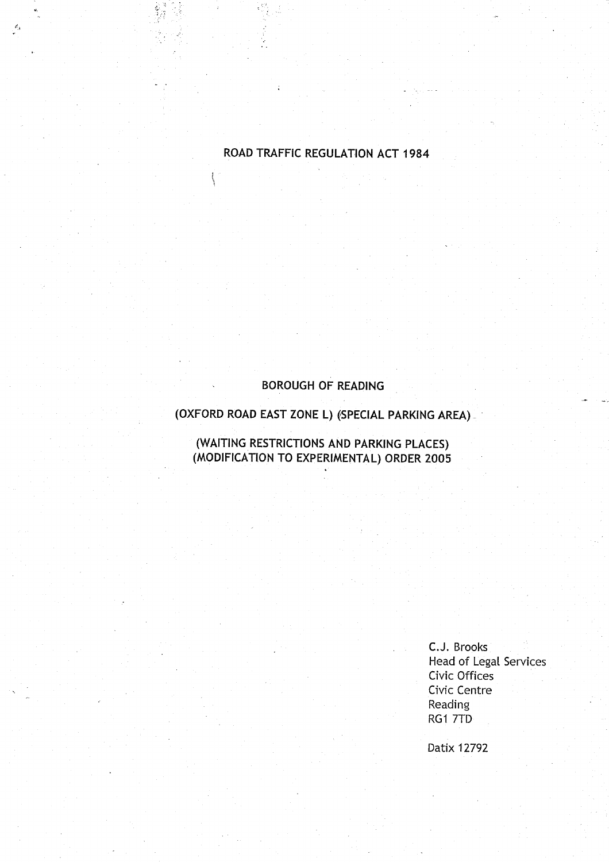# ROAD TRAFFIC REGULATION ACT 1984

₹

### **BOROUGH OF READING**

# **(OXFORD ROAD** EAST **ZONE L**) (**SPECIAL PARKING AREA)**

**(WAITING RESTRICTIONS AND PARKING PLACES) (MODIFICATION TO EXPERIMENTAL** ) **ORDER 2005**

> C.J. Brooks Head of Legal Services Civic Offices Civic Centre **Reading** RG1 7TD

Datix 12792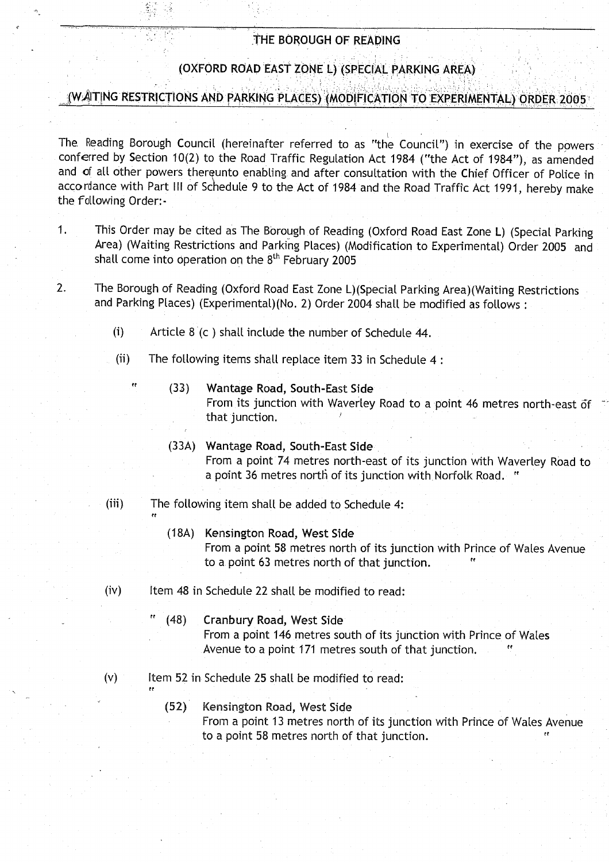### THE BOROUGH OF READING

# (OXFORD ROAD EAST ZONE L) (SPECIAL PARKING AREA)

# ,,,..(WAITING RESTRICTIONS AND PARKING'PLACES) (MODIFICATION TO' EXPERIMENTAL) ORDER2005'

The Reading Borough Council (hereinafter referred to as "the Council") in exercise of the powers conferred by Section 10(2) to the Road Traffic Regulation Act 1984 ("the Act of 1984"), as amended and of all other powers thereunto enabling and after consultation with the Chief Officer of Police in accordance with Part III of Schedule 9 to the Act of 1984 and the Road Traffic Act 1991, hereby make the following Order:-

- <sup>1</sup> . This Order may be cited as The Borough of Reading (Oxford Road East Zone L) (Special Parking Area) (Waiting Restrictions and Parking Places) (Modification to Experimental) Order 2005 and shall come into operation on the  $8<sup>th</sup>$  February 2005
- 2. The Borough of Reading (Oxford Road East Zone L)(Special Parking Area)(Waiting Restrictions and Parking Places) (Experimental)(No. 2) Order 2004 shall be modified as follows:
	- (i) Article 8 (c ) shall include the number of Schedule 44 .
	- (ii) The following items shall replace item 33 in Schedule 4:
		- (33) Wantage Road, South-East Side From its junction with Waverley Road to a point 46 metres north-east of that junction.
		- (33A) Wantage Road, South-East Side From a point 74 metres north-east of its junction with Waverley Road to a point 36 metres north of its junction with Norfolk Road. "
	- (iii) The following item shall be added to Schedule 4:

re

**rr**

- (18A) Kensington Road, West Side From a point 58 metres north of its junction with Prince of Wales Avenue to a point 63 metres north of that junction.
- $(iv)$  Item 48 in Schedule 22 shall be modified to read:
	- (48) Cranbury Road, West Side From a point 146 metres south of its junction with Prince of Wales Avenue to a point 171 metres south of that junction.
- $(v)$  Item 52 in Schedule 25 shall be modified to read:
- (52) Kensington Road, West Side From a point 13 metres north of its junction with Prince of Wales Avenue From a point 140 metres south of its junction with Frince of wates<br>Avenue to a point 171 metres south of that junction.<br>Schedule 25 shall be modified to read:<br>Kensington Road, West Side<br>From a point 13 metres north of its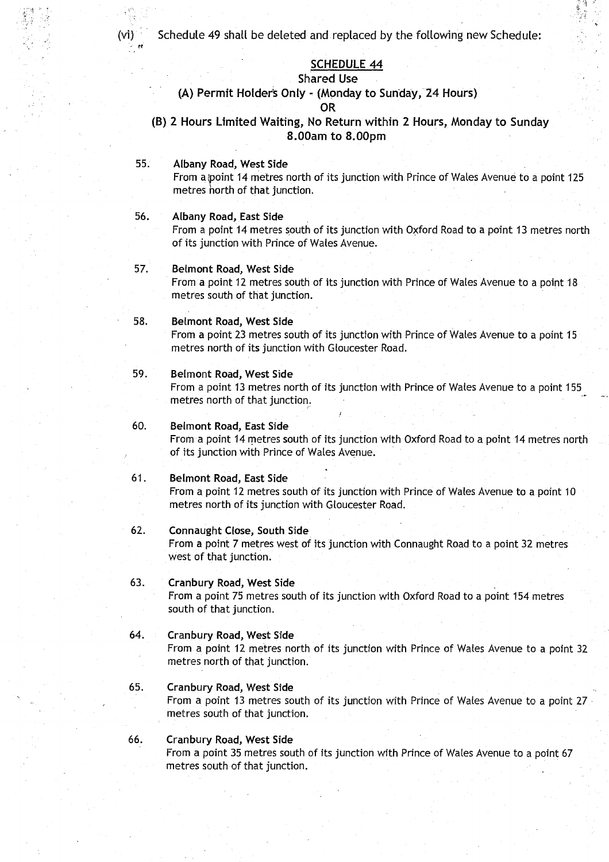(vi) Schedule 49 shall be deleted and replaced by the following new Schedule:

### **SCHEDULE 44**

# **Shared Use**

#### **(A) Permit Holders** Only (Monday to Sunday, 24 Hours) **OR**

**(B) 2 Hours Limited** Waiting, **No Return within 2 Hours** , Monday to Sunday **8 .OOam to 8 .00pm**

### **<sup>55</sup> . Albany Road**, **West Side**

From a point 14 metres north of its junction with Prince of Wales Avenue to a point 125 metres horth of that junction.

#### **56. Albany Road**, **East Side**

From a point 14 metres south of its junction with Oxford Road to a point 13 metres north of its junction with Prince of Wales Avenue .

#### **57. Belmont Road**, **West Side**

From a point 12 metres south of its junction with Prince of Wales Avenue to a point 18 metres south of that junction.

#### **<sup>58</sup> . Belmont Road**, **West Side**

From a point 23 metres south of its junction with Prince of Wales Avenue to a point 15 metres north of its junction with Gloucester Road.

### **59. Belmont Road**, **West Side**

From a point 13 metres north of its junction with Prince of Wales Avenue to a point 155 metres north of that junction.

#### **60. Belmont Road, East Side**

From a point 14 metres south of its junction with Oxford Road to a point 14 metres north of its junction with Prince of Wales Avenue .

### **<sup>61</sup> . Belmont Road**, **East Side**

From a point 12 metres south of its junction with Prince of Wales Avenue to a point 10 metres north of its junction with Gloucester Road.

#### **62. Connaught Close, South Side**

From a point 7 metres west of its junction with Connaught Road to a point 32 metres west of that junction.

### <sup>63</sup> . Cranbury **Road**, **West Side**

From a point 75 metres south of its junction with Oxford Road to a point 154 metres south of that junction.

#### <sup>64</sup> . Cranbury **Road**, **West Side**

From a point 12 metres north of its junction with Prince of Wales Avenue to a point 32 metres north of that junction.

#### <sup>65</sup> . Cranbury **Road**, West Side

From a point 13 metres south of its junction with Prince of Wales Avenue to a point 27 metres south of that junction.

### <sup>66</sup> . Cranbury **Road**, West Side

From a point 35 metres south of its junction with Prince of Wales Avenue to a point 67 metres south of that junction.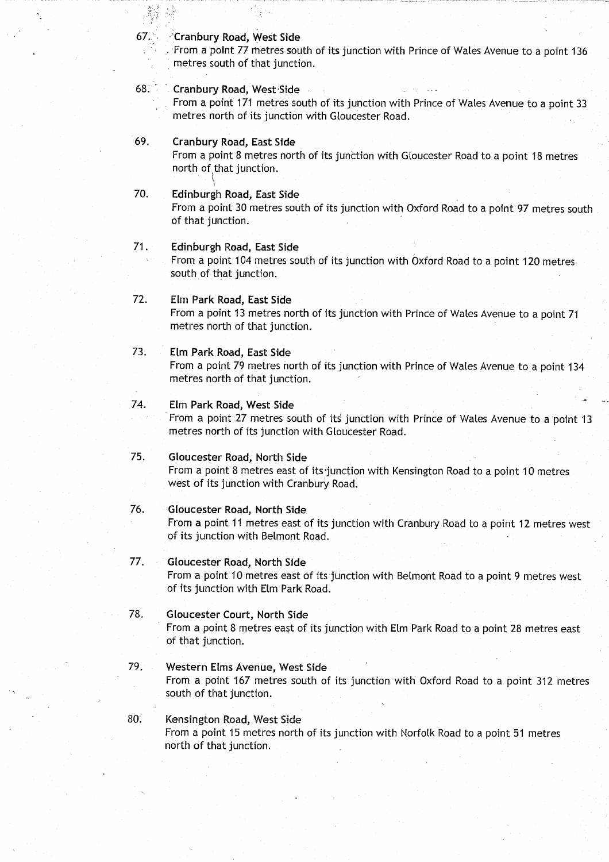#### 67: -`Cranbury **Road**, West Side

From a point 77 metres south of its junction with Prince of Wales Avenue to a point 136 metres south of that junction.

### 68. Cranbury Road, West Side

From a point 171 metres south of its junction with Prince of Wales Avenue to a point 33 metres north of its junction with Gloucester Road .

### 69. Cranbury Road, East Side

From a point 8 metres north of its junction with Gloucester Road to a point 18 metres north of that junction.

#### 1 **70 . Edinburgh Road**, **East Side**

From a point 30 metres south of its junction with Oxford Road to a point 97 metres south of that junction.

#### <sup>71</sup> . Edinburgh **Road**, **East Side**

From a point 104 metres south of its junction with Oxford Road to a point 120 metres . south of that junction.

### 72. Elm Park Road, East Side

From a point 13 metres north of its junction with Prince of Wales Avenue to a point 71 metres north of that junction.

### <sup>73</sup> . Elm Park **Road**, **East Side**

From a point 79 metres north of its junction with Prince of Wales Avenue to a point 134 metres north of that junction.

### 74. Elm Park **Road**, West Side

From a point 27 metres south of its junction with Prince of Wales Avenue to a point 13 metres north of its junction with Gloucester Road.

### **75. Gloucester Road** , North Side

From a point 8 metres east of its junction with Kensington Road to a point 10 metres west of its junction with Cranbury Road.

### <sup>76</sup> . Gloucester **Road**, **North Side**

From a point 11 metres east of its junction with Cranbury Road to a point 12 metres west of its junction with Belmont Road.

### 77. Gloucester **Road**, **North Side**

From a point 10 metres east of its junction with Belmont Road to a point 9 metres west of its junction with Elm Park Road .

### 78. Gloucester Court, North Side

From a point 8 metres east of its junction with Elm Park Road to a point 28 metres east of that junction.

### 79. Western Elms Avenue, West Side

From a point 167 metres south of its junction with Oxford Road to a point 312 metres south of that junction.

### 80. Kensington Road, West Side From a point 15 metres north of its junction with Norfolk Road to a point 51 metres north of that junction.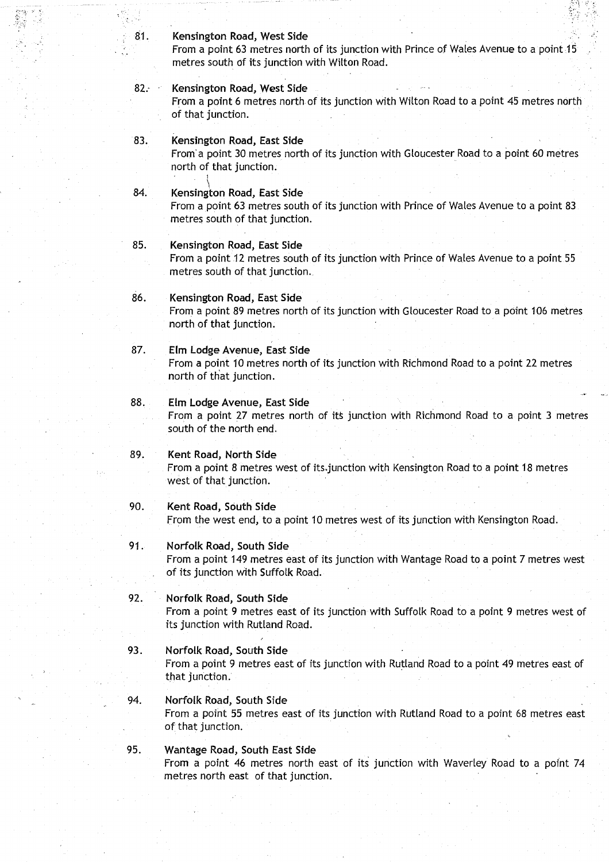#### **<sup>81</sup> . Kensington Road**, **West Side**

From a point 63 metres north of its junction with Prince of Wales Avenue to a point 15 metres south of its junction with Wilton Road .

### **82. Kensington Road**, **West Side**

From a point 6 metres north of its junction with Wilton Road to a point 45 metres north of that junction.

### **<sup>83</sup> . Kensington Road, East Side**

From'a point 30 metres north of its junction with Gloucester Road to a point 60 metres north of that junction.

#### **84. Kensington Road**, **East Side**

From a point 63 metres south of its junction with Prince of Wales Avenue to a point 83 metres south of that junction.

#### **85 . Kensington Road**, **East Side**

From a point 12 metres south of its junction with Prince of Wales Avenue to a point 55 metres south of that junction.

# 86. Kensington Road, East Side

From a point 89 metres north of its junction with Gloucester Road to a point 106 metres north of that junction.

#### **87. Elm Lodge** Avenue, **East Side**

From a point 10 metres north of its junction with Richmond Road to a point 22 metres north of that junction .

#### **88. Elm Lodge Avenue**, **East Side**

From a point 27 metres north of its junction with Richmond Road to a point 3 metres south of the north end.

# <sup>89</sup> . Kent **Road**, **North Side**

From a point 8 metres west of its .junction with Kensington Road to a point 18 metres west of that junction.

#### **90. Kent Road**, **South Side**

From the west end, to a point 10 metres west of its junction with Kensington Road .

#### **<sup>91</sup> . Norfolk Road**, **South Side**

From a point 149 metres east of its junction with Wantage Road to a point 7 metres west of its junction with Suffolk Road.

#### 92. Norfolk **Road**, **South Side**

From a point 9 metres east of its junction with Suffolk Road to a point 9 metres west of its junction with Rutland Road.

#### <sup>93</sup> . Norfolk **Road**, **South Side**

From a point 9 metres east of its junction with Rutland Road to a point 49 metres east of that junction.

#### 94. Norfolk **Road, South Side**

From a point 55 metres east of its junction with Rutland Road to a point 68 metres east of that junction.

#### 95. Wantage Road, South East Side

From a point 46 metres north east of its junction with Waverley Road to a point 74 metres north east of that junction.